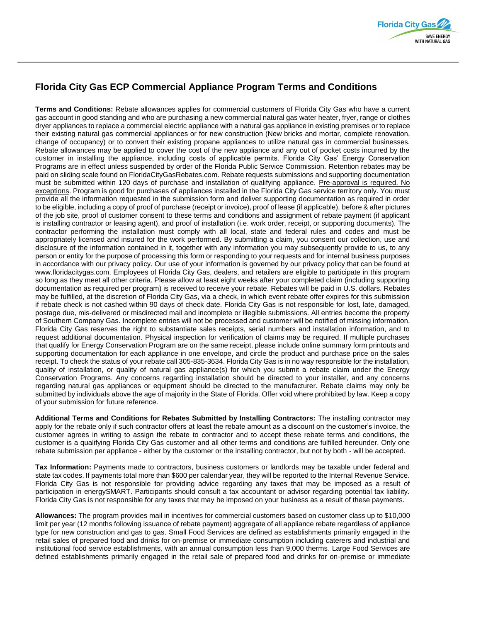

## **Florida City Gas ECP Commercial Appliance Program Terms and Conditions**

**Terms and Conditions:** Rebate allowances applies for commercial customers of Florida City Gas who have a current gas account in good standing and who are purchasing a new commercial natural gas water heater, fryer, range or clothes dryer appliances to replace a commercial electric appliance with a natural gas appliance in existing premises or to replace their existing natural gas commercial appliances or for new construction (New bricks and mortar, complete renovation, change of occupancy) or to convert their existing propane appliances to utilize natural gas in commercial businesses. Rebate allowances may be applied to cover the cost of the new appliance and any out of pocket costs incurred by the customer in installing the appliance, including costs of applicable permits. Florida City Gas' Energy Conservation Programs are in effect unless suspended by order of the Florida Public Service Commission. Retention rebates may be paid on sliding scale found on FloridaCityGasRebates.com. Rebate requests submissions and supporting documentation must be submitted within 120 days of purchase and installation of qualifying appliance. Pre-approval is required. No exceptions. Program is good for purchases of appliances installed in the Florida City Gas service territory only. You must provide all the information requested in the submission form and deliver supporting documentation as required in order to be eligible, including a copy of proof of purchase (receipt or invoice), proof of lease (if applicable), before & after pictures of the job site, proof of customer consent to these terms and conditions and assignment of rebate payment (if applicant is installing contractor or leasing agent), and proof of installation (i.e. work order, receipt, or supporting documents). The contractor performing the installation must comply with all local, state and federal rules and codes and must be appropriately licensed and insured for the work performed. By submitting a claim, you consent our collection, use and disclosure of the information contained in it, together with any information you may subsequently provide to us, to any person or entity for the purpose of processing this form or responding to your requests and for internal business purposes in accordance with our privacy policy. Our use of your information is governed by our privacy policy that can be found at www.floridacitygas.com. Employees of Florida City Gas, dealers, and retailers are eligible to participate in this program so long as they meet all other criteria. Please allow at least eight weeks after your completed claim (including supporting documentation as required per program) is received to receive your rebate. Rebates will be paid in U.S. dollars. Rebates may be fulfilled, at the discretion of Florida City Gas, via a check, in which event rebate offer expires for this submission if rebate check is not cashed within 90 days of check date. Florida City Gas is not responsible for lost, late, damaged, postage due, mis-delivered or misdirected mail and incomplete or illegible submissions. All entries become the property of Southern Company Gas. Incomplete entries will not be processed and customer will be notified of missing information. Florida City Gas reserves the right to substantiate sales receipts, serial numbers and installation information, and to request additional documentation. Physical inspection for verification of claims may be required. If multiple purchases that qualify for Energy Conservation Program are on the same receipt, please include online summary form printouts and supporting documentation for each appliance in one envelope, and circle the product and purchase price on the sales receipt. To check the status of your rebate call 305-835-3634. Florida City Gas is in no way responsible for the installation, quality of installation, or quality of natural gas appliance(s) for which you submit a rebate claim under the Energy Conservation Programs. Any concerns regarding installation should be directed to your installer, and any concerns regarding natural gas appliances or equipment should be directed to the manufacturer. Rebate claims may only be submitted by individuals above the age of majority in the State of Florida. Offer void where prohibited by law. Keep a copy of your submission for future reference.

**Additional Terms and Conditions for Rebates Submitted by Installing Contractors:** The installing contractor may apply for the rebate only if such contractor offers at least the rebate amount as a discount on the customer's invoice, the customer agrees in writing to assign the rebate to contractor and to accept these rebate terms and conditions, the customer is a qualifying Florida City Gas customer and all other terms and conditions are fulfilled hereunder. Only one rebate submission per appliance - either by the customer or the installing contractor, but not by both - will be accepted.

**Tax Information:** Payments made to contractors, business customers or landlords may be taxable under federal and state tax codes. If payments total more than \$600 per calendar year, they will be reported to the Internal Revenue Service. Florida City Gas is not responsible for providing advice regarding any taxes that may be imposed as a result of participation in energySMART. Participants should consult a tax accountant or advisor regarding potential tax liability. Florida City Gas is not responsible for any taxes that may be imposed on your business as a result of these payments.

**Allowances:** The program provides mail in incentives for commercial customers based on customer class up to \$10,000 limit per year (12 months following issuance of rebate payment) aggregate of all appliance rebate regardless of appliance type for new construction and gas to gas. Small Food Services are defined as establishments primarily engaged in the retail sales of prepared food and drinks for on-premise or immediate consumption including caterers and industrial and institutional food service establishments, with an annual consumption less than 9,000 therms. Large Food Services are defined establishments primarily engaged in the retail sale of prepared food and drinks for on-premise or immediate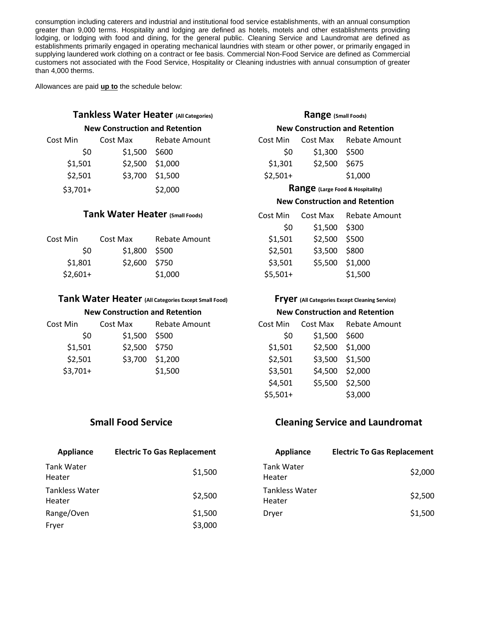consumption including caterers and industrial and institutional food service establishments, with an annual consumption greater than 9,000 terms. Hospitality and lodging are defined as hotels, motels and other establishments providing lodging, or lodging with food and dining, for the general public. Cleaning Service and Laundromat are defined as establishments primarily engaged in operating mechanical laundries with steam or other power, or primarily engaged in supplying laundered work clothing on a contract or fee basis. Commercial Non-Food Service are defined as Commercial customers not associated with the Food Service, Hospitality or Cleaning industries with annual consumption of greater than 4,000 therms.

Allowances are paid **up to** the schedule below:

## **Tankless Water Heater (All Categories) Range (Small Foods)**

#### **New Construction and Retention New Construction and Retention**

| Cost Min  | Cost Max      | Rebate Amount   | Cost Min  | Cost Max                                | Rebate Amount |
|-----------|---------------|-----------------|-----------|-----------------------------------------|---------------|
| S0        | \$1,500 \$600 |                 | S0        | $$1,300$ \$500                          |               |
| \$1,501   |               | \$2,500 \$1,000 | \$1,301   | \$2,500 \$675                           |               |
| \$2,501   |               | \$3,700 \$1,500 | $$2,501+$ |                                         | \$1,000       |
| $$3,701+$ |               | \$2,000         |           | <b>Range</b> (Large Food & Hospitality) |               |

### **Tank Water Heater (Small Foods)**

| Cost Min  | Cost Max       | Rebate Amount | \$1.501   | \$2,500 \$500   |         |
|-----------|----------------|---------------|-----------|-----------------|---------|
| SO.       | $$1,800$ \$500 |               | \$2.501   | \$3,500 \$800   |         |
| \$1,801   | \$2,600 \$750  |               | \$3.501   | \$5,500 \$1,000 |         |
| $$2,601+$ |                | \$1,000       | $$5,501+$ |                 | \$1,500 |

### **Tank Water Heater (All Categories Except Small Food) Fryer (All Categories Except Cleaning Service)**

| <b>New Construction and Retention</b> |               |                        |         |                 | <b>New Construction and Retention</b> |
|---------------------------------------|---------------|------------------------|---------|-----------------|---------------------------------------|
| Cost Min                              |               | Cost Max Rebate Amount |         |                 | Cost Min Cost Max Rebate Amount       |
| SO.                                   | \$1,500 \$500 |                        | -SO-    | \$1,500 \$600   |                                       |
| \$1,501                               | \$2,500 \$750 |                        | \$1.501 | \$2,500 \$1,000 |                                       |
| \$2,501                               |               | \$3,700 \$1,200        | \$2,501 | \$3,500 \$1,500 |                                       |

 $$3,701+$  \$1,500

| Cost Min  |               | Cost Max Rebate Amoun |
|-----------|---------------|-----------------------|
| \$0       | \$1,300 \$500 |                       |
| \$1,301   | \$2,500 \$675 |                       |
| $$2,501+$ |               | \$1,000               |
|           |               |                       |

### **Range** (Large Food & Hospitality)

#### **New Construction and Retention**

| Cost Max        | Rebate Amount |
|-----------------|---------------|
| \$1,500         | \$300         |
| \$2,500 \$500   |               |
| \$3,500 \$800   |               |
| \$5,500 \$1,000 |               |
|                 | \$1,500       |
|                 |               |

### **New Construction and Retention New Construction and Retention**

| Cost Min  | Cost Max        | <b>Rebate Amount</b> |
|-----------|-----------------|----------------------|
| \$0       | \$1,500         | \$600                |
| \$1,501   | \$2,500 \$1,000 |                      |
| \$2,501   | \$3,500 \$1,500 |                      |
| \$3,501   |                 | \$4,500 \$2,000      |
| \$4,501   | \$5,500         | \$2,500              |
| $$5,501+$ |                 | \$3,000              |
|           |                 |                      |

| Appliance                       | <b>Electric To Gas Replacement</b> | Appliance                       | <b>Electric To Gas Replacement</b> |
|---------------------------------|------------------------------------|---------------------------------|------------------------------------|
| Tank Water<br>Heater            | \$1,500                            | <b>Tank Water</b><br>Heater     | \$2,000                            |
| <b>Tankless Water</b><br>Heater | \$2,500                            | <b>Tankless Water</b><br>Heater | \$2,500                            |
| Range/Oven<br>Fryer             | \$1,500<br>\$3,000                 | Dryer                           | \$1,500                            |

## **Small Food Service Cleaning Service and Laundromat**

| <b>Appliance</b>         | <b>Electric To Gas Replacement</b> |
|--------------------------|------------------------------------|
| Tank Water<br>Heater     | \$2,000                            |
| Tankless Water<br>Heater | \$2,500                            |
| Dryer                    | \$1,500                            |